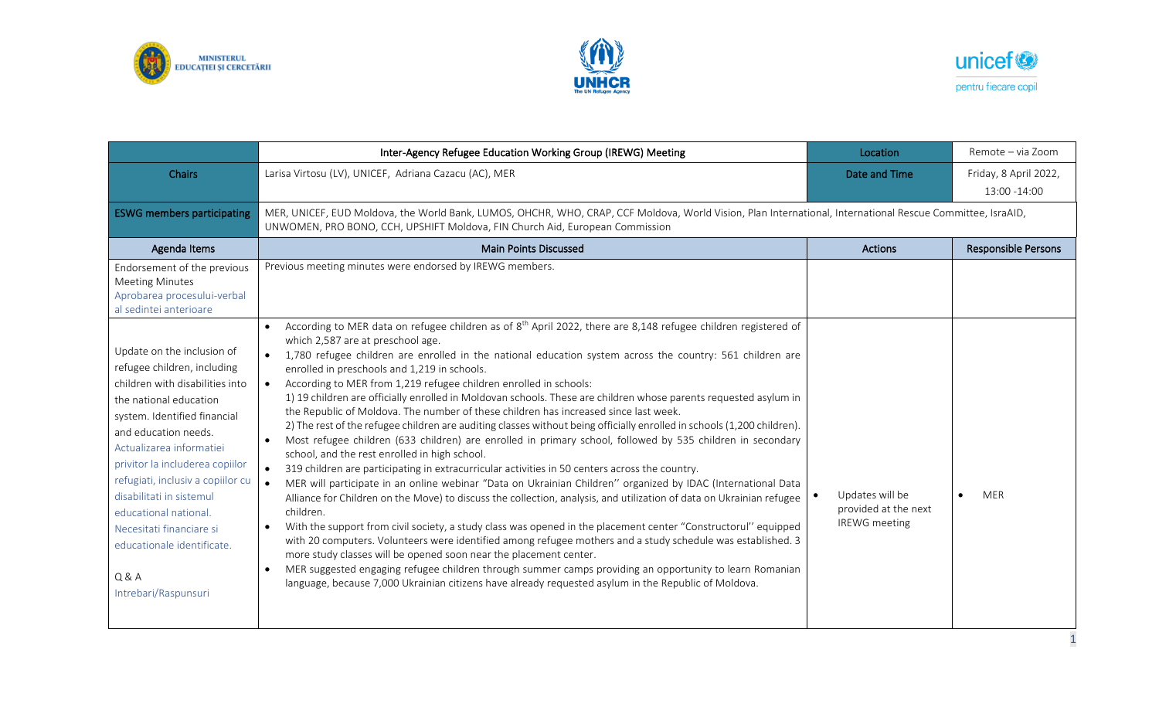





|                                                                                                                                                                                                                                                                                                                                                                                                                                    | Inter-Agency Refugee Education Working Group (IREWG) Meeting                                                                                                                                                                                                                                                                                                                                                                                                                                                                                                                                                                                                                                                                                                                                                                                                                                                                                                                                                                                                                                                                                                                                                                                                                                                                                                                                                                                                                                                                                                                                                                                                                                                                                                                                                                                                          | Location                                                        | Remote - via Zoom                     |  |
|------------------------------------------------------------------------------------------------------------------------------------------------------------------------------------------------------------------------------------------------------------------------------------------------------------------------------------------------------------------------------------------------------------------------------------|-----------------------------------------------------------------------------------------------------------------------------------------------------------------------------------------------------------------------------------------------------------------------------------------------------------------------------------------------------------------------------------------------------------------------------------------------------------------------------------------------------------------------------------------------------------------------------------------------------------------------------------------------------------------------------------------------------------------------------------------------------------------------------------------------------------------------------------------------------------------------------------------------------------------------------------------------------------------------------------------------------------------------------------------------------------------------------------------------------------------------------------------------------------------------------------------------------------------------------------------------------------------------------------------------------------------------------------------------------------------------------------------------------------------------------------------------------------------------------------------------------------------------------------------------------------------------------------------------------------------------------------------------------------------------------------------------------------------------------------------------------------------------------------------------------------------------------------------------------------------------|-----------------------------------------------------------------|---------------------------------------|--|
| <b>Chairs</b>                                                                                                                                                                                                                                                                                                                                                                                                                      | Larisa Virtosu (LV), UNICEF, Adriana Cazacu (AC), MER                                                                                                                                                                                                                                                                                                                                                                                                                                                                                                                                                                                                                                                                                                                                                                                                                                                                                                                                                                                                                                                                                                                                                                                                                                                                                                                                                                                                                                                                                                                                                                                                                                                                                                                                                                                                                 | Date and Time                                                   | Friday, 8 April 2022,<br>13:00 -14:00 |  |
| <b>ESWG members participating</b>                                                                                                                                                                                                                                                                                                                                                                                                  | MER, UNICEF, EUD Moldova, the World Bank, LUMOS, OHCHR, WHO, CRAP, CCF Moldova, World Vision, Plan International, International Rescue Committee, IsraAID,<br>UNWOMEN, PRO BONO, CCH, UPSHIFT Moldova, FIN Church Aid, European Commission                                                                                                                                                                                                                                                                                                                                                                                                                                                                                                                                                                                                                                                                                                                                                                                                                                                                                                                                                                                                                                                                                                                                                                                                                                                                                                                                                                                                                                                                                                                                                                                                                            |                                                                 |                                       |  |
| Agenda Items                                                                                                                                                                                                                                                                                                                                                                                                                       | <b>Main Points Discussed</b>                                                                                                                                                                                                                                                                                                                                                                                                                                                                                                                                                                                                                                                                                                                                                                                                                                                                                                                                                                                                                                                                                                                                                                                                                                                                                                                                                                                                                                                                                                                                                                                                                                                                                                                                                                                                                                          | <b>Actions</b>                                                  | <b>Responsible Persons</b>            |  |
| Endorsement of the previous<br><b>Meeting Minutes</b><br>Aprobarea procesului-verbal<br>al sedintei anterioare                                                                                                                                                                                                                                                                                                                     | Previous meeting minutes were endorsed by IREWG members.                                                                                                                                                                                                                                                                                                                                                                                                                                                                                                                                                                                                                                                                                                                                                                                                                                                                                                                                                                                                                                                                                                                                                                                                                                                                                                                                                                                                                                                                                                                                                                                                                                                                                                                                                                                                              |                                                                 |                                       |  |
| Update on the inclusion of<br>refugee children, including<br>children with disabilities into<br>the national education<br>system. Identified financial<br>and education needs.<br>Actualizarea informatiei<br>privitor la includerea copiilor<br>refugiati, inclusiv a copiilor cu<br>disabilitati in sistemul<br>educational national.<br>Necesitati financiare si<br>educationale identificate.<br>Q & A<br>Intrebari/Raspunsuri | According to MER data on refugee children as of 8 <sup>th</sup> April 2022, there are 8,148 refugee children registered of<br>$\bullet$<br>which 2,587 are at preschool age.<br>1,780 refugee children are enrolled in the national education system across the country: 561 children are<br>enrolled in preschools and 1,219 in schools.<br>According to MER from 1,219 refugee children enrolled in schools:<br>$\bullet$<br>1) 19 children are officially enrolled in Moldovan schools. These are children whose parents requested asylum in<br>the Republic of Moldova. The number of these children has increased since last week.<br>2) The rest of the refugee children are auditing classes without being officially enrolled in schools (1,200 children).<br>Most refugee children (633 children) are enrolled in primary school, followed by 535 children in secondary<br>school, and the rest enrolled in high school.<br>319 children are participating in extracurricular activities in 50 centers across the country.<br>$\bullet$<br>MER will participate in an online webinar "Data on Ukrainian Children" organized by IDAC (International Data<br>$\bullet$<br>Alliance for Children on the Move) to discuss the collection, analysis, and utilization of data on Ukrainian refugee<br>children.<br>With the support from civil society, a study class was opened in the placement center "Constructorul" equipped<br>$\bullet$<br>with 20 computers. Volunteers were identified among refugee mothers and a study schedule was established. 3<br>more study classes will be opened soon near the placement center.<br>MER suggested engaging refugee children through summer camps providing an opportunity to learn Romanian<br>$\bullet$<br>language, because 7,000 Ukrainian citizens have already requested asylum in the Republic of Moldova. | Updates will be<br>provided at the next<br><b>IREWG</b> meeting | <b>MER</b>                            |  |